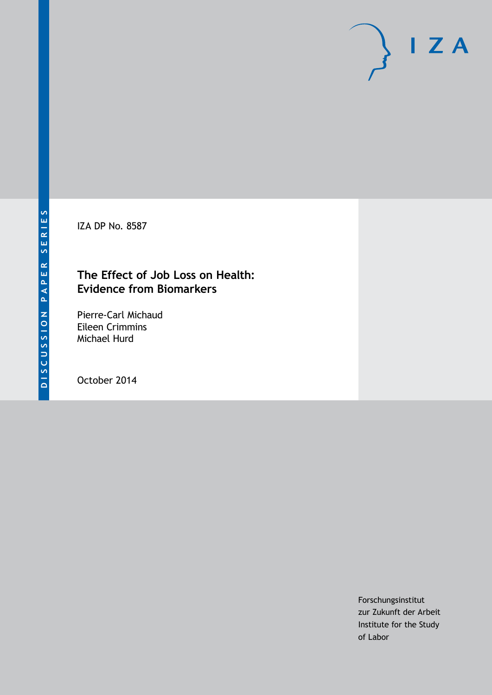IZA DP No. 8587

# **The Effect of Job Loss on Health: Evidence from Biomarkers**

Pierre-Carl Michaud Eileen Crimmins Michael Hurd

October 2014

Forschungsinstitut zur Zukunft der Arbeit Institute for the Study of Labor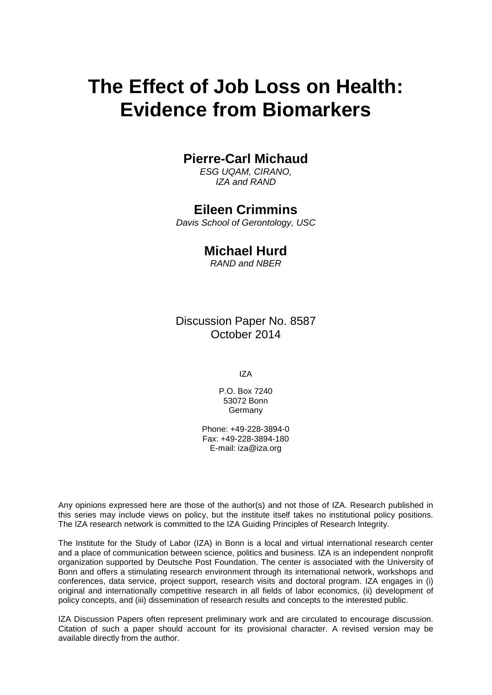# **The Effect of Job Loss on Health: Evidence from Biomarkers**

### **Pierre-Carl Michaud**

*ESG UQAM, CIRANO, IZA and RAND*

### **Eileen Crimmins**

*Davis School of Gerontology, USC*

### **Michael Hurd**

*RAND and NBER*

Discussion Paper No. 8587 October 2014

IZA

P.O. Box 7240 53072 Bonn **Germany** 

Phone: +49-228-3894-0 Fax: +49-228-3894-180 E-mail: [iza@iza.org](mailto:iza@iza.org)

Any opinions expressed here are those of the author(s) and not those of IZA. Research published in this series may include views on policy, but the institute itself takes no institutional policy positions. The IZA research network is committed to the IZA Guiding Principles of Research Integrity.

The Institute for the Study of Labor (IZA) in Bonn is a local and virtual international research center and a place of communication between science, politics and business. IZA is an independent nonprofit organization supported by Deutsche Post Foundation. The center is associated with the University of Bonn and offers a stimulating research environment through its international network, workshops and conferences, data service, project support, research visits and doctoral program. IZA engages in (i) original and internationally competitive research in all fields of labor economics, (ii) development of policy concepts, and (iii) dissemination of research results and concepts to the interested public.

<span id="page-1-0"></span>IZA Discussion Papers often represent preliminary work and are circulated to encourage discussion. Citation of such a paper should account for its provisional character. A revised version may be available directly from the author.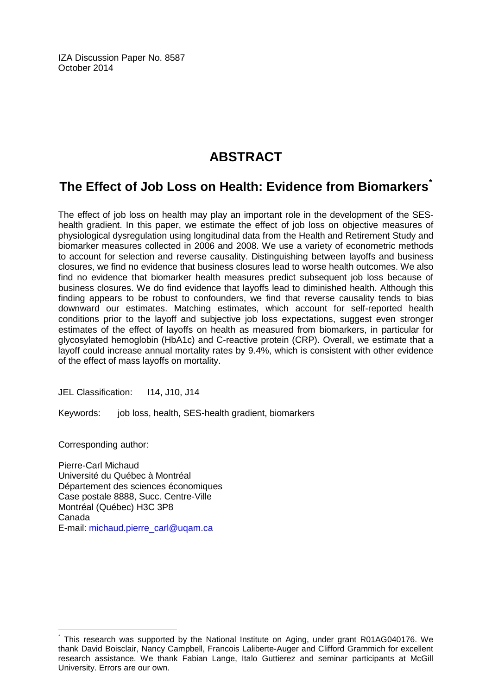IZA Discussion Paper No. 8587 October 2014

# **ABSTRACT**

# **The Effect of Job Loss on Health: Evidence from Biomarkers[\\*](#page-1-0)**

The effect of job loss on health may play an important role in the development of the SEShealth gradient. In this paper, we estimate the effect of job loss on objective measures of physiological dysregulation using longitudinal data from the Health and Retirement Study and biomarker measures collected in 2006 and 2008. We use a variety of econometric methods to account for selection and reverse causality. Distinguishing between layoffs and business closures, we find no evidence that business closures lead to worse health outcomes. We also find no evidence that biomarker health measures predict subsequent job loss because of business closures. We do find evidence that layoffs lead to diminished health. Although this finding appears to be robust to confounders, we find that reverse causality tends to bias downward our estimates. Matching estimates, which account for self-reported health conditions prior to the layoff and subjective job loss expectations, suggest even stronger estimates of the effect of layoffs on health as measured from biomarkers, in particular for glycosylated hemoglobin (HbA1c) and C-reactive protein (CRP). Overall, we estimate that a layoff could increase annual mortality rates by 9.4%, which is consistent with other evidence of the effect of mass layoffs on mortality.

JEL Classification: I14, J10, J14

Keywords: job loss, health, SES-health gradient, biomarkers

Corresponding author:

Pierre-Carl Michaud Université du Québec à Montréal Département des sciences économiques Case postale 8888, Succ. Centre-Ville Montréal (Québec) H3C 3P8 Canada E-mail: [michaud.pierre\\_carl@uqam.ca](mailto:michaud.pierre_carl@uqam.ca)

This research was supported by the National Institute on Aging, under grant R01AG040176. We thank David Boisclair, Nancy Campbell, Francois Laliberte-Auger and Clifford Grammich for excellent research assistance. We thank Fabian Lange, Italo Guttierez and seminar participants at McGill University. Errors are our own.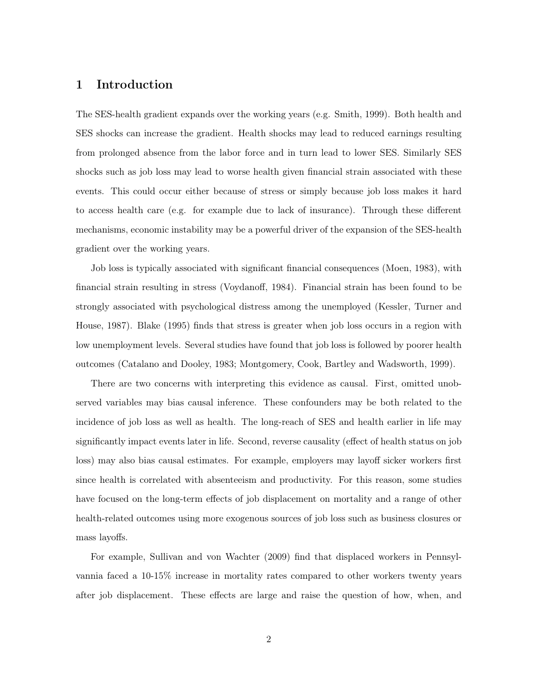#### 1 Introduction

The SES-health gradient expands over the working years (e.g. Smith, 1999). Both health and SES shocks can increase the gradient. Health shocks may lead to reduced earnings resulting from prolonged absence from the labor force and in turn lead to lower SES. Similarly SES shocks such as job loss may lead to worse health given financial strain associated with these events. This could occur either because of stress or simply because job loss makes it hard to access health care (e.g. for example due to lack of insurance). Through these different mechanisms, economic instability may be a powerful driver of the expansion of the SES-health gradient over the working years.

Job loss is typically associated with significant financial consequences (Moen, 1983), with financial strain resulting in stress (Voydanoff, 1984). Financial strain has been found to be strongly associated with psychological distress among the unemployed (Kessler, Turner and House, 1987). Blake (1995) finds that stress is greater when job loss occurs in a region with low unemployment levels. Several studies have found that job loss is followed by poorer health outcomes (Catalano and Dooley, 1983; Montgomery, Cook, Bartley and Wadsworth, 1999).

There are two concerns with interpreting this evidence as causal. First, omitted unobserved variables may bias causal inference. These confounders may be both related to the incidence of job loss as well as health. The long-reach of SES and health earlier in life may significantly impact events later in life. Second, reverse causality (effect of health status on job loss) may also bias causal estimates. For example, employers may layoff sicker workers first since health is correlated with absenteeism and productivity. For this reason, some studies have focused on the long-term effects of job displacement on mortality and a range of other health-related outcomes using more exogenous sources of job loss such as business closures or mass layoffs.

For example, Sullivan and von Wachter (2009) find that displaced workers in Pennsylvannia faced a 10-15% increase in mortality rates compared to other workers twenty years after job displacement. These effects are large and raise the question of how, when, and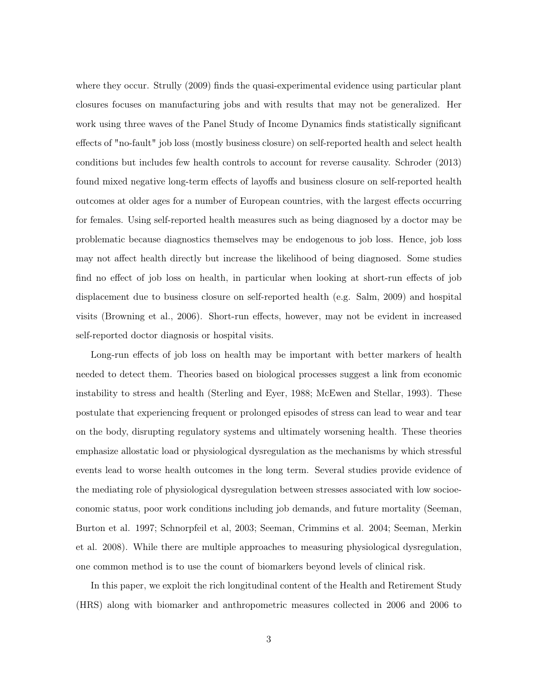where they occur. Strully (2009) finds the quasi-experimental evidence using particular plant closures focuses on manufacturing jobs and with results that may not be generalized. Her work using three waves of the Panel Study of Income Dynamics finds statistically significant effects of "no-fault" job loss (mostly business closure) on self-reported health and select health conditions but includes few health controls to account for reverse causality. Schroder (2013) found mixed negative long-term effects of layoffs and business closure on self-reported health outcomes at older ages for a number of European countries, with the largest effects occurring for females. Using self-reported health measures such as being diagnosed by a doctor may be problematic because diagnostics themselves may be endogenous to job loss. Hence, job loss may not affect health directly but increase the likelihood of being diagnosed. Some studies find no effect of job loss on health, in particular when looking at short-run effects of job displacement due to business closure on self-reported health (e.g. Salm, 2009) and hospital visits (Browning et al., 2006). Short-run effects, however, may not be evident in increased self-reported doctor diagnosis or hospital visits.

Long-run effects of job loss on health may be important with better markers of health needed to detect them. Theories based on biological processes suggest a link from economic instability to stress and health (Sterling and Eyer, 1988; McEwen and Stellar, 1993). These postulate that experiencing frequent or prolonged episodes of stress can lead to wear and tear on the body, disrupting regulatory systems and ultimately worsening health. These theories emphasize allostatic load or physiological dysregulation as the mechanisms by which stressful events lead to worse health outcomes in the long term. Several studies provide evidence of the mediating role of physiological dysregulation between stresses associated with low socioeconomic status, poor work conditions including job demands, and future mortality (Seeman, Burton et al. 1997; Schnorpfeil et al, 2003; Seeman, Crimmins et al. 2004; Seeman, Merkin et al. 2008). While there are multiple approaches to measuring physiological dysregulation, one common method is to use the count of biomarkers beyond levels of clinical risk.

In this paper, we exploit the rich longitudinal content of the Health and Retirement Study (HRS) along with biomarker and anthropometric measures collected in 2006 and 2006 to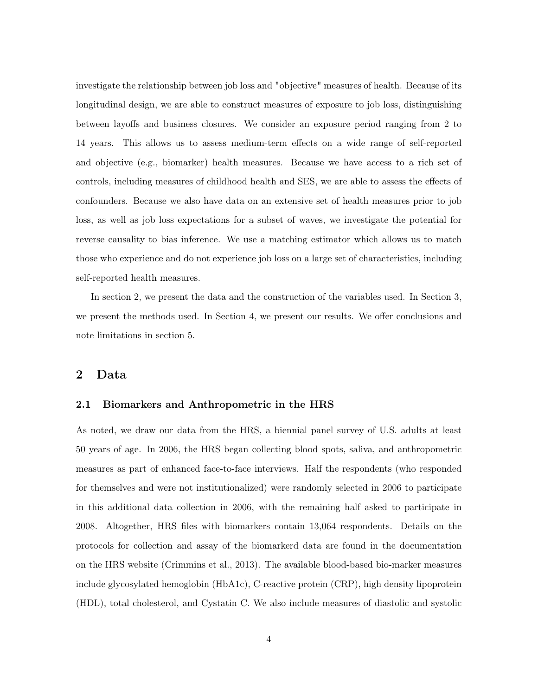investigate the relationship between job loss and "objective" measures of health. Because of its longitudinal design, we are able to construct measures of exposure to job loss, distinguishing between layoffs and business closures. We consider an exposure period ranging from 2 to 14 years. This allows us to assess medium-term effects on a wide range of self-reported and objective (e.g., biomarker) health measures. Because we have access to a rich set of controls, including measures of childhood health and SES, we are able to assess the effects of confounders. Because we also have data on an extensive set of health measures prior to job loss, as well as job loss expectations for a subset of waves, we investigate the potential for reverse causality to bias inference. We use a matching estimator which allows us to match those who experience and do not experience job loss on a large set of characteristics, including self-reported health measures.

In section 2, we present the data and the construction of the variables used. In Section 3, we present the methods used. In Section 4, we present our results. We offer conclusions and note limitations in section 5.

#### 2 Data

#### 2.1 Biomarkers and Anthropometric in the HRS

As noted, we draw our data from the HRS, a biennial panel survey of U.S. adults at least 50 years of age. In 2006, the HRS began collecting blood spots, saliva, and anthropometric measures as part of enhanced face-to-face interviews. Half the respondents (who responded for themselves and were not institutionalized) were randomly selected in 2006 to participate in this additional data collection in 2006, with the remaining half asked to participate in 2008. Altogether, HRS files with biomarkers contain 13,064 respondents. Details on the protocols for collection and assay of the biomarkerd data are found in the documentation on the HRS website (Crimmins et al., 2013). The available blood-based bio-marker measures include glycosylated hemoglobin (HbA1c), C-reactive protein (CRP), high density lipoprotein (HDL), total cholesterol, and Cystatin C. We also include measures of diastolic and systolic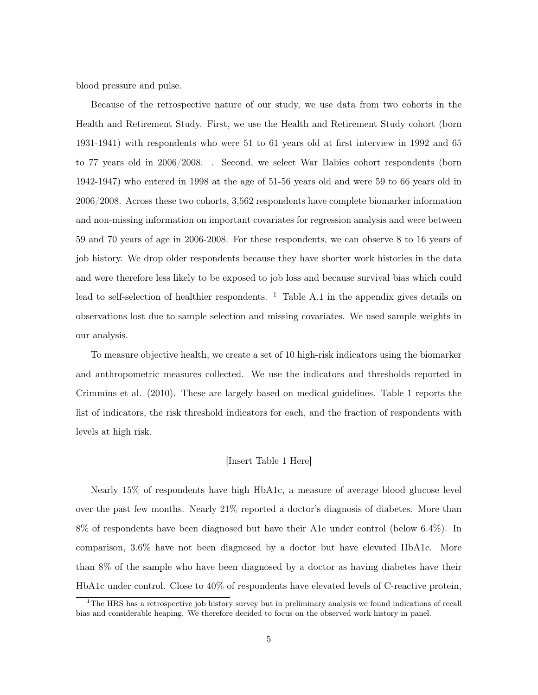blood pressure and pulse.

Because of the retrospective nature of our study, we use data from two cohorts in the Health and Retirement Study. First, we use the Health and Retirement Study cohort (born 1931-1941) with respondents who were 51 to 61 years old at first interview in 1992 and 65 to 77 years old in 2006/2008. . Second, we select War Babies cohort respondents (born 1942-1947) who entered in 1998 at the age of 51-56 years old and were 59 to 66 years old in 2006/2008. Across these two cohorts, 3,562 respondents have complete biomarker information and non-missing information on important covariates for regression analysis and were between 59 and 70 years of age in 2006-2008. For these respondents, we can observe 8 to 16 years of job history. We drop older respondents because they have shorter work histories in the data and were therefore less likely to be exposed to job loss and because survival bias which could lead to self-selection of healthier respondents.  $\frac{1}{1}$  Table A.1 in the appendix gives details on observations lost due to sample selection and missing covariates. We used sample weights in our analysis.

To measure objective health, we create a set of 10 high-risk indicators using the biomarker and anthropometric measures collected. We use the indicators and thresholds reported in Crimmins et al. (2010). These are largely based on medical guidelines. Table 1 reports the list of indicators, the risk threshold indicators for each, and the fraction of respondents with levels at high risk.

#### [Insert Table 1 Here]

Nearly 15% of respondents have high HbA1c, a measure of average blood glucose level over the past few months. Nearly 21% reported a doctor's diagnosis of diabetes. More than 8% of respondents have been diagnosed but have their A1c under control (below 6.4%). In comparison, 3.6% have not been diagnosed by a doctor but have elevated HbA1c. More than 8% of the sample who have been diagnosed by a doctor as having diabetes have their HbA1c under control. Close to 40% of respondents have elevated levels of C-reactive protein,

<sup>&</sup>lt;sup>1</sup>The HRS has a retrospective job history survey but in preliminary analysis we found indications of recall bias and considerable heaping. We therefore decided to focus on the observed work history in panel.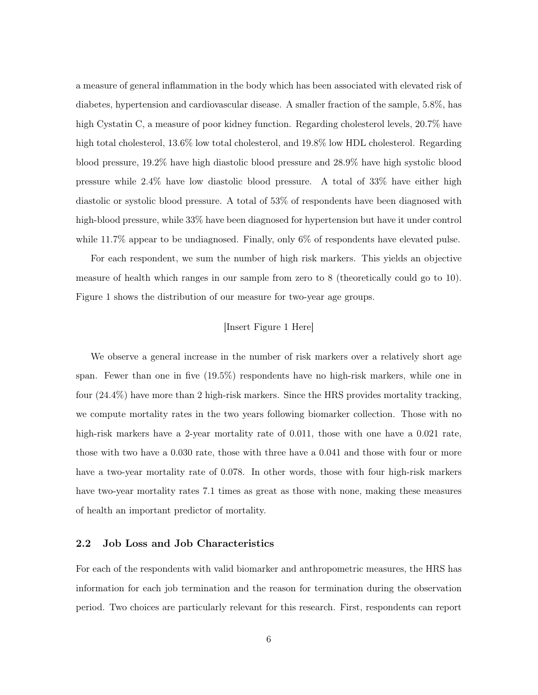a measure of general inflammation in the body which has been associated with elevated risk of diabetes, hypertension and cardiovascular disease. A smaller fraction of the sample, 5.8%, has high Cystatin C, a measure of poor kidney function. Regarding cholesterol levels, 20.7% have high total cholesterol, 13.6% low total cholesterol, and 19.8% low HDL cholesterol. Regarding blood pressure, 19.2% have high diastolic blood pressure and 28.9% have high systolic blood pressure while 2.4% have low diastolic blood pressure. A total of 33% have either high diastolic or systolic blood pressure. A total of 53% of respondents have been diagnosed with high-blood pressure, while 33% have been diagnosed for hypertension but have it under control while 11.7% appear to be undiagnosed. Finally, only 6% of respondents have elevated pulse.

For each respondent, we sum the number of high risk markers. This yields an objective measure of health which ranges in our sample from zero to 8 (theoretically could go to 10). Figure 1 shows the distribution of our measure for two-year age groups.

#### [Insert Figure 1 Here]

We observe a general increase in the number of risk markers over a relatively short age span. Fewer than one in five (19.5%) respondents have no high-risk markers, while one in four (24.4%) have more than 2 high-risk markers. Since the HRS provides mortality tracking, we compute mortality rates in the two years following biomarker collection. Those with no high-risk markers have a 2-year mortality rate of 0.011, those with one have a 0.021 rate, those with two have a 0.030 rate, those with three have a 0.041 and those with four or more have a two-year mortality rate of 0.078. In other words, those with four high-risk markers have two-year mortality rates 7.1 times as great as those with none, making these measures of health an important predictor of mortality.

#### 2.2 Job Loss and Job Characteristics

For each of the respondents with valid biomarker and anthropometric measures, the HRS has information for each job termination and the reason for termination during the observation period. Two choices are particularly relevant for this research. First, respondents can report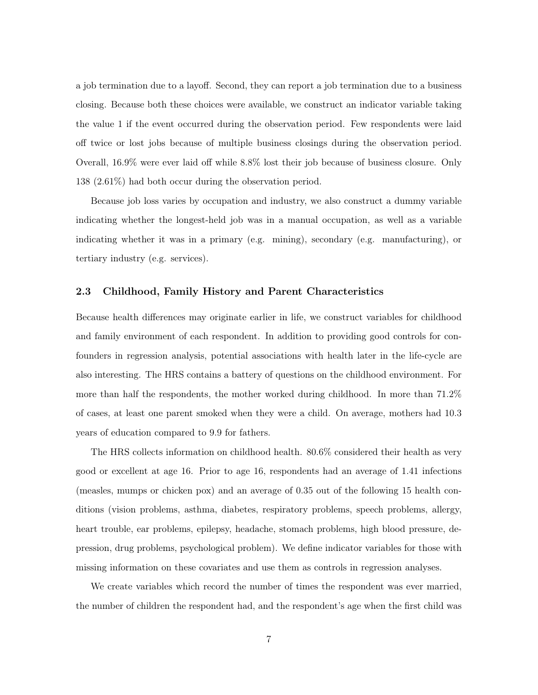a job termination due to a layoff. Second, they can report a job termination due to a business closing. Because both these choices were available, we construct an indicator variable taking the value 1 if the event occurred during the observation period. Few respondents were laid off twice or lost jobs because of multiple business closings during the observation period. Overall, 16.9% were ever laid off while 8.8% lost their job because of business closure. Only 138 (2.61%) had both occur during the observation period.

Because job loss varies by occupation and industry, we also construct a dummy variable indicating whether the longest-held job was in a manual occupation, as well as a variable indicating whether it was in a primary (e.g. mining), secondary (e.g. manufacturing), or tertiary industry (e.g. services).

#### 2.3 Childhood, Family History and Parent Characteristics

Because health differences may originate earlier in life, we construct variables for childhood and family environment of each respondent. In addition to providing good controls for confounders in regression analysis, potential associations with health later in the life-cycle are also interesting. The HRS contains a battery of questions on the childhood environment. For more than half the respondents, the mother worked during childhood. In more than 71.2% of cases, at least one parent smoked when they were a child. On average, mothers had 10.3 years of education compared to 9.9 for fathers.

The HRS collects information on childhood health. 80.6% considered their health as very good or excellent at age 16. Prior to age 16, respondents had an average of 1.41 infections (measles, mumps or chicken pox) and an average of 0.35 out of the following 15 health conditions (vision problems, asthma, diabetes, respiratory problems, speech problems, allergy, heart trouble, ear problems, epilepsy, headache, stomach problems, high blood pressure, depression, drug problems, psychological problem). We define indicator variables for those with missing information on these covariates and use them as controls in regression analyses.

We create variables which record the number of times the respondent was ever married, the number of children the respondent had, and the respondent's age when the first child was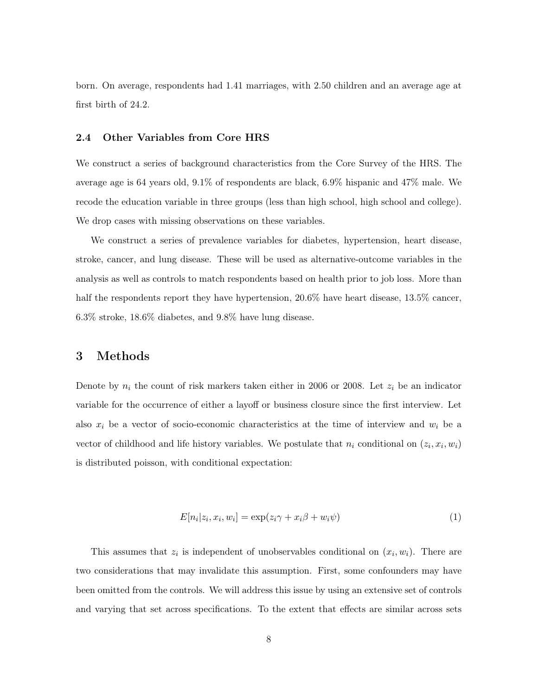born. On average, respondents had 1.41 marriages, with 2.50 children and an average age at first birth of 24.2.

#### 2.4 Other Variables from Core HRS

We construct a series of background characteristics from the Core Survey of the HRS. The average age is 64 years old, 9.1% of respondents are black, 6.9% hispanic and 47% male. We recode the education variable in three groups (less than high school, high school and college). We drop cases with missing observations on these variables.

We construct a series of prevalence variables for diabetes, hypertension, heart disease, stroke, cancer, and lung disease. These will be used as alternative-outcome variables in the analysis as well as controls to match respondents based on health prior to job loss. More than half the respondents report they have hypertension,  $20.6\%$  have heart disease,  $13.5\%$  cancer, 6.3% stroke, 18.6% diabetes, and 9.8% have lung disease.

#### 3 Methods

Denote by  $n_i$  the count of risk markers taken either in 2006 or 2008. Let  $z_i$  be an indicator variable for the occurrence of either a layoff or business closure since the first interview. Let also  $x_i$  be a vector of socio-economic characteristics at the time of interview and  $w_i$  be a vector of childhood and life history variables. We postulate that  $n_i$  conditional on  $(z_i, x_i, w_i)$ is distributed poisson, with conditional expectation:

$$
E[n_i|z_i, x_i, w_i] = \exp(z_i\gamma + x_i\beta + w_i\psi)
$$
\n<sup>(1)</sup>

This assumes that  $z_i$  is independent of unobservables conditional on  $(x_i, w_i)$ . There are two considerations that may invalidate this assumption. First, some confounders may have been omitted from the controls. We will address this issue by using an extensive set of controls and varying that set across specifications. To the extent that effects are similar across sets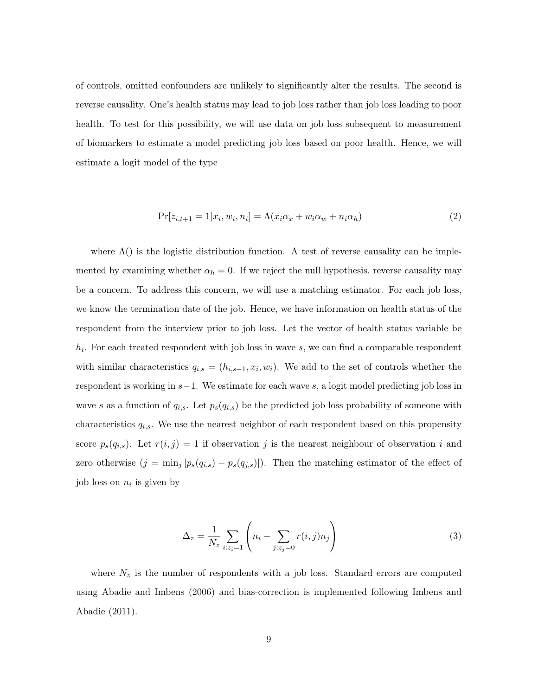of controls, omitted confounders are unlikely to significantly alter the results. The second is reverse causality. One's health status may lead to job loss rather than job loss leading to poor health. To test for this possibility, we will use data on job loss subsequent to measurement of biomarkers to estimate a model predicting job loss based on poor health. Hence, we will estimate a logit model of the type

$$
\Pr[z_{i,t+1} = 1 | x_i, w_i, n_i] = \Lambda(x_i \alpha_x + w_i \alpha_w + n_i \alpha_h)
$$
\n<sup>(2)</sup>

where  $\Lambda$ () is the logistic distribution function. A test of reverse causality can be implemented by examining whether  $\alpha_h = 0$ . If we reject the null hypothesis, reverse causality may be a concern. To address this concern, we will use a matching estimator. For each job loss, we know the termination date of the job. Hence, we have information on health status of the respondent from the interview prior to job loss. Let the vector of health status variable be  $h_i$ . For each treated respondent with job loss in wave  $s$ , we can find a comparable respondent with similar characteristics  $q_{i,s} = (h_{i,s-1}, x_i, w_i)$ . We add to the set of controls whether the respondent is working in s−1. We estimate for each wave s, a logit model predicting job loss in wave s as a function of  $q_{i,s}$ . Let  $p_s(q_{i,s})$  be the predicted job loss probability of someone with characteristics  $q_{i,s}$ . We use the nearest neighbor of each respondent based on this propensity score  $p_s(q_{i,s})$ . Let  $r(i, j) = 1$  if observation j is the nearest neighbour of observation i and zero otherwise  $(j = \min_j |p_s(q_{i,s}) - p_s(q_{j,s})|)$ . Then the matching estimator of the effect of job loss on  $n_i$  is given by

$$
\Delta_z = \frac{1}{N_z} \sum_{i:z_i=1} \left( n_i - \sum_{j:z_j=0} r(i,j) n_j \right) \tag{3}
$$

where  $N_z$  is the number of respondents with a job loss. Standard errors are computed using Abadie and Imbens (2006) and bias-correction is implemented following Imbens and Abadie (2011).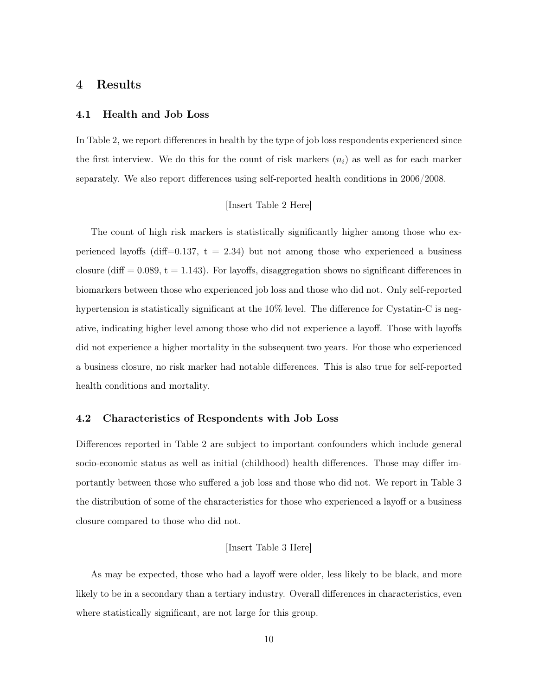#### 4 Results

#### 4.1 Health and Job Loss

In Table 2, we report differences in health by the type of job loss respondents experienced since the first interview. We do this for the count of risk markers  $(n_i)$  as well as for each marker separately. We also report differences using self-reported health conditions in 2006/2008.

#### [Insert Table 2 Here]

The count of high risk markers is statistically significantly higher among those who experienced layoffs (diff=0.137,  $t = 2.34$ ) but not among those who experienced a business closure (diff  $= 0.089$ ,  $t = 1.143$ ). For layoffs, disaggregation shows no significant differences in biomarkers between those who experienced job loss and those who did not. Only self-reported hypertension is statistically significant at the  $10\%$  level. The difference for Cystatin-C is negative, indicating higher level among those who did not experience a layoff. Those with layoffs did not experience a higher mortality in the subsequent two years. For those who experienced a business closure, no risk marker had notable differences. This is also true for self-reported health conditions and mortality.

#### 4.2 Characteristics of Respondents with Job Loss

Differences reported in Table 2 are subject to important confounders which include general socio-economic status as well as initial (childhood) health differences. Those may differ importantly between those who suffered a job loss and those who did not. We report in Table 3 the distribution of some of the characteristics for those who experienced a layoff or a business closure compared to those who did not.

#### [Insert Table 3 Here]

As may be expected, those who had a layoff were older, less likely to be black, and more likely to be in a secondary than a tertiary industry. Overall differences in characteristics, even where statistically significant, are not large for this group.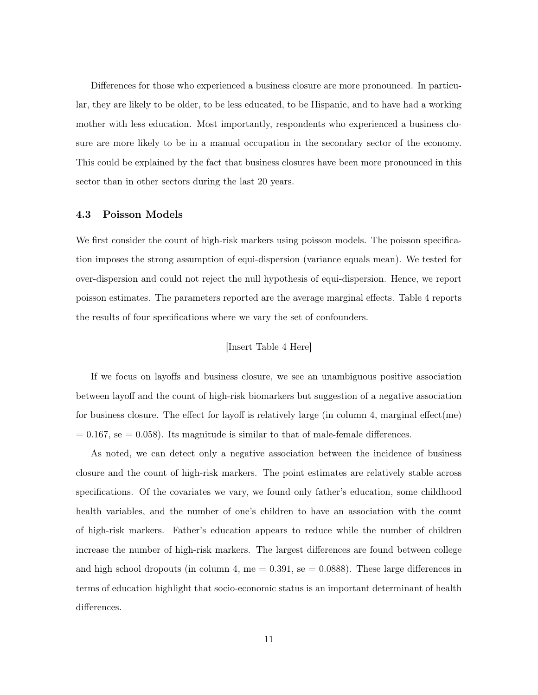Differences for those who experienced a business closure are more pronounced. In particular, they are likely to be older, to be less educated, to be Hispanic, and to have had a working mother with less education. Most importantly, respondents who experienced a business closure are more likely to be in a manual occupation in the secondary sector of the economy. This could be explained by the fact that business closures have been more pronounced in this sector than in other sectors during the last 20 years.

#### 4.3 Poisson Models

We first consider the count of high-risk markers using poisson models. The poisson specification imposes the strong assumption of equi-dispersion (variance equals mean). We tested for over-dispersion and could not reject the null hypothesis of equi-dispersion. Hence, we report poisson estimates. The parameters reported are the average marginal effects. Table 4 reports the results of four specifications where we vary the set of confounders.

#### [Insert Table 4 Here]

If we focus on layoffs and business closure, we see an unambiguous positive association between layoff and the count of high-risk biomarkers but suggestion of a negative association for business closure. The effect for layoff is relatively large (in column 4, marginal effect(me)  $= 0.167$ , se  $= 0.058$ ). Its magnitude is similar to that of male-female differences.

As noted, we can detect only a negative association between the incidence of business closure and the count of high-risk markers. The point estimates are relatively stable across specifications. Of the covariates we vary, we found only father's education, some childhood health variables, and the number of one's children to have an association with the count of high-risk markers. Father's education appears to reduce while the number of children increase the number of high-risk markers. The largest differences are found between college and high school dropouts (in column 4, me  $= 0.391$ , se  $= 0.0888$ ). These large differences in terms of education highlight that socio-economic status is an important determinant of health differences.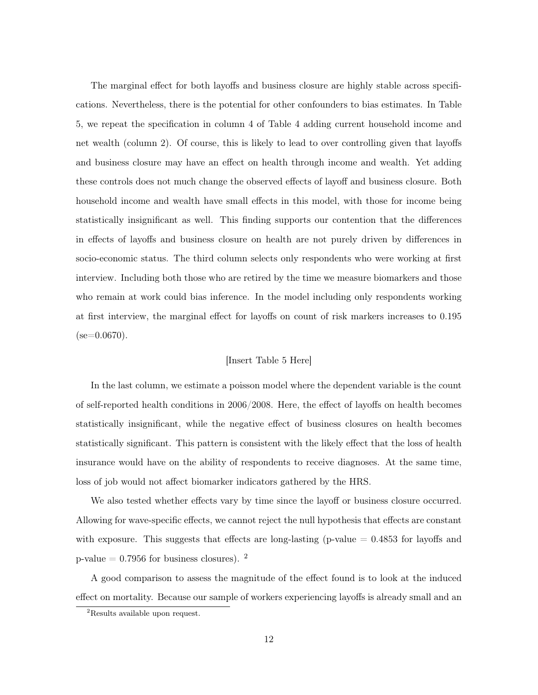The marginal effect for both layoffs and business closure are highly stable across specifications. Nevertheless, there is the potential for other confounders to bias estimates. In Table 5, we repeat the specification in column 4 of Table 4 adding current household income and net wealth (column 2). Of course, this is likely to lead to over controlling given that layoffs and business closure may have an effect on health through income and wealth. Yet adding these controls does not much change the observed effects of layoff and business closure. Both household income and wealth have small effects in this model, with those for income being statistically insignificant as well. This finding supports our contention that the differences in effects of layoffs and business closure on health are not purely driven by differences in socio-economic status. The third column selects only respondents who were working at first interview. Including both those who are retired by the time we measure biomarkers and those who remain at work could bias inference. In the model including only respondents working at first interview, the marginal effect for layoffs on count of risk markers increases to 0.195  $(se=0.0670)$ .

#### [Insert Table 5 Here]

In the last column, we estimate a poisson model where the dependent variable is the count of self-reported health conditions in 2006/2008. Here, the effect of layoffs on health becomes statistically insignificant, while the negative effect of business closures on health becomes statistically significant. This pattern is consistent with the likely effect that the loss of health insurance would have on the ability of respondents to receive diagnoses. At the same time, loss of job would not affect biomarker indicators gathered by the HRS.

We also tested whether effects vary by time since the layoff or business closure occurred. Allowing for wave-specific effects, we cannot reject the null hypothesis that effects are constant with exposure. This suggests that effects are long-lasting (p-value  $= 0.4853$  for layoffs and p-value  $= 0.7956$  for business closures). <sup>2</sup>

A good comparison to assess the magnitude of the effect found is to look at the induced effect on mortality. Because our sample of workers experiencing layoffs is already small and an

<sup>&</sup>lt;sup>2</sup>Results available upon request.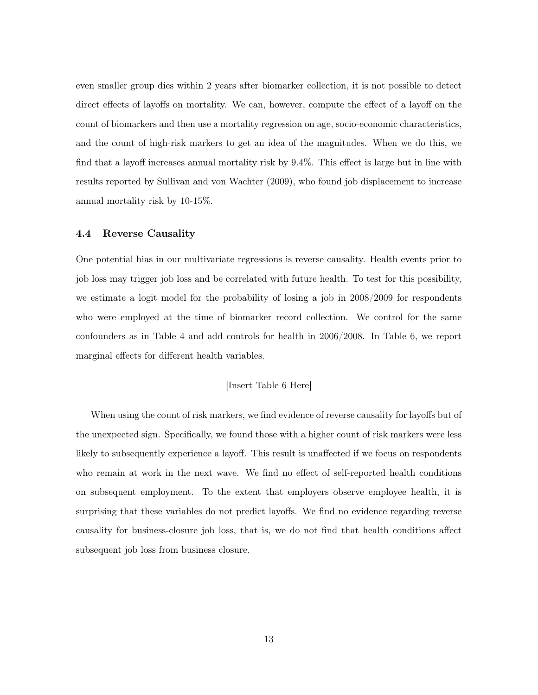even smaller group dies within 2 years after biomarker collection, it is not possible to detect direct effects of layoffs on mortality. We can, however, compute the effect of a layoff on the count of biomarkers and then use a mortality regression on age, socio-economic characteristics, and the count of high-risk markers to get an idea of the magnitudes. When we do this, we find that a layoff increases annual mortality risk by 9.4%. This effect is large but in line with results reported by Sullivan and von Wachter (2009), who found job displacement to increase annual mortality risk by 10-15%.

#### 4.4 Reverse Causality

One potential bias in our multivariate regressions is reverse causality. Health events prior to job loss may trigger job loss and be correlated with future health. To test for this possibility, we estimate a logit model for the probability of losing a job in 2008/2009 for respondents who were employed at the time of biomarker record collection. We control for the same confounders as in Table 4 and add controls for health in 2006/2008. In Table 6, we report marginal effects for different health variables.

#### [Insert Table 6 Here]

When using the count of risk markers, we find evidence of reverse causality for layoffs but of the unexpected sign. Specifically, we found those with a higher count of risk markers were less likely to subsequently experience a layoff. This result is unaffected if we focus on respondents who remain at work in the next wave. We find no effect of self-reported health conditions on subsequent employment. To the extent that employers observe employee health, it is surprising that these variables do not predict layoffs. We find no evidence regarding reverse causality for business-closure job loss, that is, we do not find that health conditions affect subsequent job loss from business closure.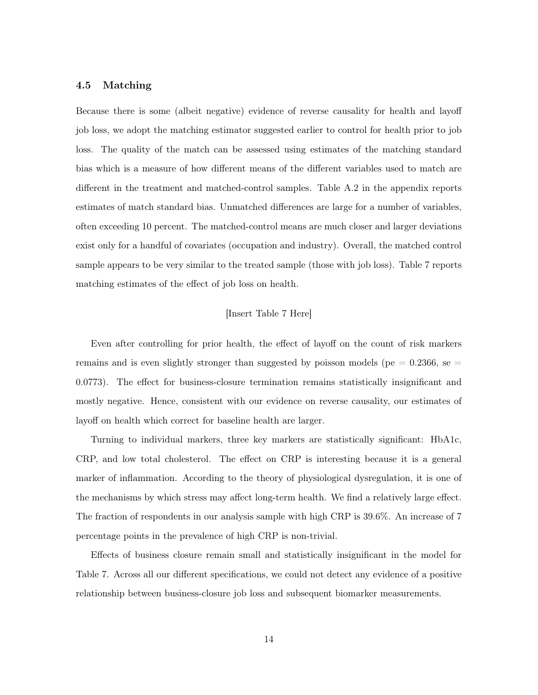#### 4.5 Matching

Because there is some (albeit negative) evidence of reverse causality for health and layoff job loss, we adopt the matching estimator suggested earlier to control for health prior to job loss. The quality of the match can be assessed using estimates of the matching standard bias which is a measure of how different means of the different variables used to match are different in the treatment and matched-control samples. Table A.2 in the appendix reports estimates of match standard bias. Unmatched differences are large for a number of variables, often exceeding 10 percent. The matched-control means are much closer and larger deviations exist only for a handful of covariates (occupation and industry). Overall, the matched control sample appears to be very similar to the treated sample (those with job loss). Table 7 reports matching estimates of the effect of job loss on health.

#### [Insert Table 7 Here]

Even after controlling for prior health, the effect of layoff on the count of risk markers remains and is even slightly stronger than suggested by poisson models ( $pe = 0.2366$ , se 0.0773). The effect for business-closure termination remains statistically insignificant and mostly negative. Hence, consistent with our evidence on reverse causality, our estimates of layoff on health which correct for baseline health are larger.

Turning to individual markers, three key markers are statistically significant: HbA1c, CRP, and low total cholesterol. The effect on CRP is interesting because it is a general marker of inflammation. According to the theory of physiological dysregulation, it is one of the mechanisms by which stress may affect long-term health. We find a relatively large effect. The fraction of respondents in our analysis sample with high CRP is 39.6%. An increase of 7 percentage points in the prevalence of high CRP is non-trivial.

Effects of business closure remain small and statistically insignificant in the model for Table 7. Across all our different specifications, we could not detect any evidence of a positive relationship between business-closure job loss and subsequent biomarker measurements.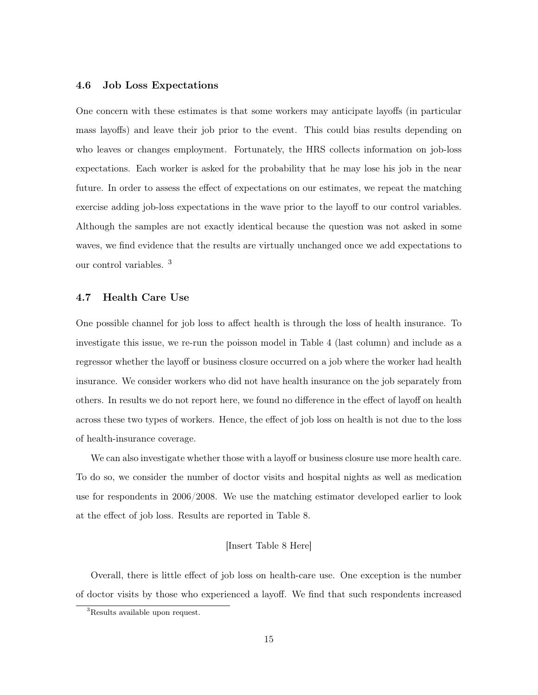#### 4.6 Job Loss Expectations

One concern with these estimates is that some workers may anticipate layoffs (in particular mass layoffs) and leave their job prior to the event. This could bias results depending on who leaves or changes employment. Fortunately, the HRS collects information on job-loss expectations. Each worker is asked for the probability that he may lose his job in the near future. In order to assess the effect of expectations on our estimates, we repeat the matching exercise adding job-loss expectations in the wave prior to the layoff to our control variables. Although the samples are not exactly identical because the question was not asked in some waves, we find evidence that the results are virtually unchanged once we add expectations to our control variables. <sup>3</sup>

#### 4.7 Health Care Use

One possible channel for job loss to affect health is through the loss of health insurance. To investigate this issue, we re-run the poisson model in Table 4 (last column) and include as a regressor whether the layoff or business closure occurred on a job where the worker had health insurance. We consider workers who did not have health insurance on the job separately from others. In results we do not report here, we found no difference in the effect of layoff on health across these two types of workers. Hence, the effect of job loss on health is not due to the loss of health-insurance coverage.

We can also investigate whether those with a layoff or business closure use more health care. To do so, we consider the number of doctor visits and hospital nights as well as medication use for respondents in 2006/2008. We use the matching estimator developed earlier to look at the effect of job loss. Results are reported in Table 8.

#### [Insert Table 8 Here]

Overall, there is little effect of job loss on health-care use. One exception is the number of doctor visits by those who experienced a layoff. We find that such respondents increased

<sup>&</sup>lt;sup>3</sup>Results available upon request.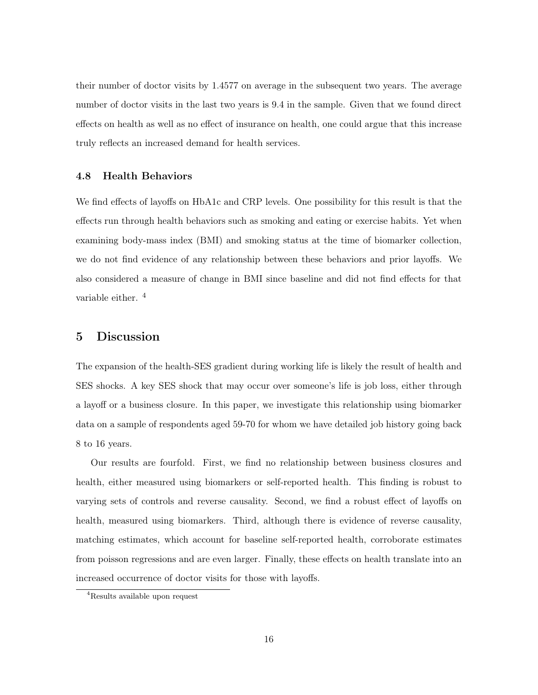their number of doctor visits by 1.4577 on average in the subsequent two years. The average number of doctor visits in the last two years is 9.4 in the sample. Given that we found direct effects on health as well as no effect of insurance on health, one could argue that this increase truly reflects an increased demand for health services.

#### 4.8 Health Behaviors

We find effects of layoffs on HbA1c and CRP levels. One possibility for this result is that the effects run through health behaviors such as smoking and eating or exercise habits. Yet when examining body-mass index (BMI) and smoking status at the time of biomarker collection, we do not find evidence of any relationship between these behaviors and prior layoffs. We also considered a measure of change in BMI since baseline and did not find effects for that variable either. <sup>4</sup>

#### 5 Discussion

The expansion of the health-SES gradient during working life is likely the result of health and SES shocks. A key SES shock that may occur over someone's life is job loss, either through a layoff or a business closure. In this paper, we investigate this relationship using biomarker data on a sample of respondents aged 59-70 for whom we have detailed job history going back 8 to 16 years.

Our results are fourfold. First, we find no relationship between business closures and health, either measured using biomarkers or self-reported health. This finding is robust to varying sets of controls and reverse causality. Second, we find a robust effect of layoffs on health, measured using biomarkers. Third, although there is evidence of reverse causality, matching estimates, which account for baseline self-reported health, corroborate estimates from poisson regressions and are even larger. Finally, these effects on health translate into an increased occurrence of doctor visits for those with layoffs.

<sup>4</sup>Results available upon request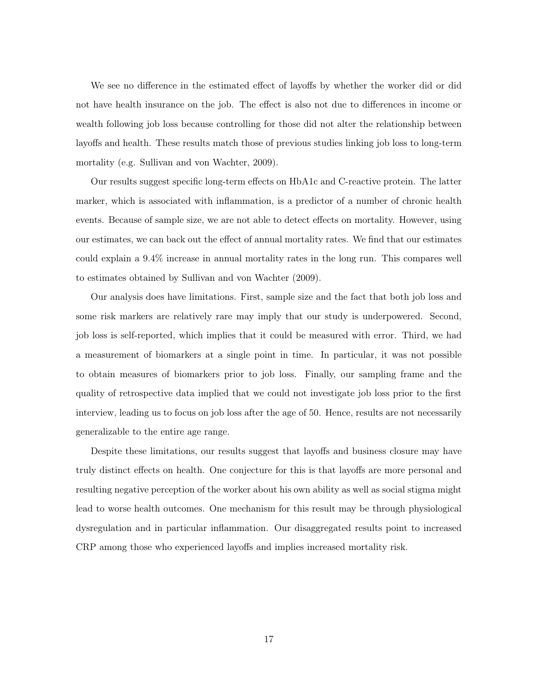We see no difference in the estimated effect of layoffs by whether the worker did or did not have health insurance on the job. The effect is also not due to differences in income or wealth following job loss because controlling for those did not alter the relationship between layoffs and health. These results match those of previous studies linking job loss to long-term mortality (e.g. Sullivan and von Wachter, 2009).

Our results suggest specific long-term effects on HbA1c and C-reactive protein. The latter marker, which is associated with inflammation, is a predictor of a number of chronic health events. Because of sample size, we are not able to detect effects on mortality. However, using our estimates, we can back out the effect of annual mortality rates. We find that our estimates could explain a 9.4% increase in annual mortality rates in the long run. This compares well to estimates obtained by Sullivan and von Wachter (2009).

Our analysis does have limitations. First, sample size and the fact that both job loss and some risk markers are relatively rare may imply that our study is underpowered. Second, job loss is self-reported, which implies that it could be measured with error. Third, we had a measurement of biomarkers at a single point in time. In particular, it was not possible to obtain measures of biomarkers prior to job loss. Finally, our sampling frame and the quality of retrospective data implied that we could not investigate job loss prior to the first interview, leading us to focus on job loss after the age of 50. Hence, results are not necessarily generalizable to the entire age range.

Despite these limitations, our results suggest that layoffs and business closure may have truly distinct effects on health. One conjecture for this is that layoffs are more personal and resulting negative perception of the worker about his own ability as well as social stigma might lead to worse health outcomes. One mechanism for this result may be through physiological dysregulation and in particular inflammation. Our disaggregated results point to increased CRP among those who experienced layoffs and implies increased mortality risk.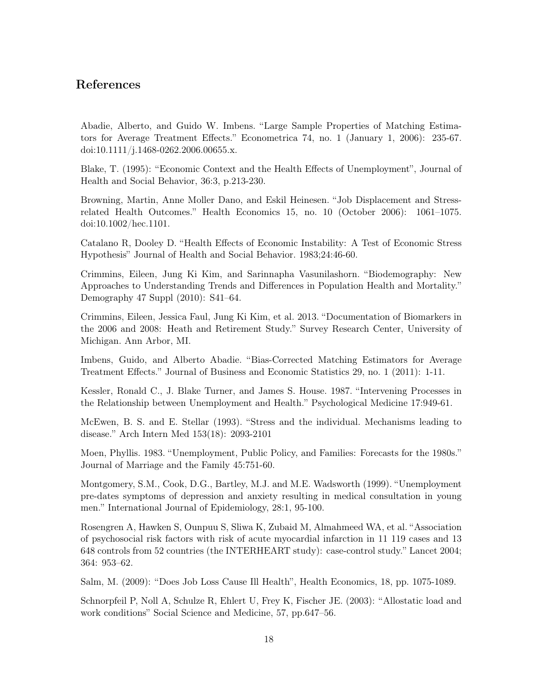### References

Abadie, Alberto, and Guido W. Imbens. "Large Sample Properties of Matching Estimators for Average Treatment Effects." Econometrica 74, no. 1 (January 1, 2006): 235-67. doi:10.1111/j.1468-0262.2006.00655.x.

Blake, T. (1995): "Economic Context and the Health Effects of Unemployment", Journal of Health and Social Behavior, 36:3, p.213-230.

Browning, Martin, Anne Moller Dano, and Eskil Heinesen. "Job Displacement and Stressrelated Health Outcomes." Health Economics 15, no. 10 (October 2006): 1061–1075. doi:10.1002/hec.1101.

Catalano R, Dooley D. "Health Effects of Economic Instability: A Test of Economic Stress Hypothesis" Journal of Health and Social Behavior. 1983;24:46-60.

Crimmins, Eileen, Jung Ki Kim, and Sarinnapha Vasunilashorn. "Biodemography: New Approaches to Understanding Trends and Differences in Population Health and Mortality." Demography 47 Suppl (2010): S41–64.

Crimmins, Eileen, Jessica Faul, Jung Ki Kim, et al. 2013. "Documentation of Biomarkers in the 2006 and 2008: Heath and Retirement Study." Survey Research Center, University of Michigan. Ann Arbor, MI.

Imbens, Guido, and Alberto Abadie. "Bias-Corrected Matching Estimators for Average Treatment Effects." Journal of Business and Economic Statistics 29, no. 1 (2011): 1-11.

Kessler, Ronald C., J. Blake Turner, and James S. House. 1987. "Intervening Processes in the Relationship between Unemployment and Health." Psychological Medicine 17:949-61.

McEwen, B. S. and E. Stellar (1993). "Stress and the individual. Mechanisms leading to disease." Arch Intern Med 153(18): 2093-2101

Moen, Phyllis. 1983. "Unemployment, Public Policy, and Families: Forecasts for the 1980s." Journal of Marriage and the Family 45:751-60.

Montgomery, S.M., Cook, D.G., Bartley, M.J. and M.E. Wadsworth (1999). "Unemployment pre-dates symptoms of depression and anxiety resulting in medical consultation in young men." International Journal of Epidemiology, 28:1, 95-100.

Rosengren A, Hawken S, Ounpuu S, Sliwa K, Zubaid M, Almahmeed WA, et al. "Association of psychosocial risk factors with risk of acute myocardial infarction in 11 119 cases and 13 648 controls from 52 countries (the INTERHEART study): case-control study." Lancet 2004; 364: 953–62.

Salm, M. (2009): "Does Job Loss Cause Ill Health", Health Economics, 18, pp. 1075-1089.

Schnorpfeil P, Noll A, Schulze R, Ehlert U, Frey K, Fischer JE. (2003): "Allostatic load and work conditions" Social Science and Medicine, 57, pp.647–56.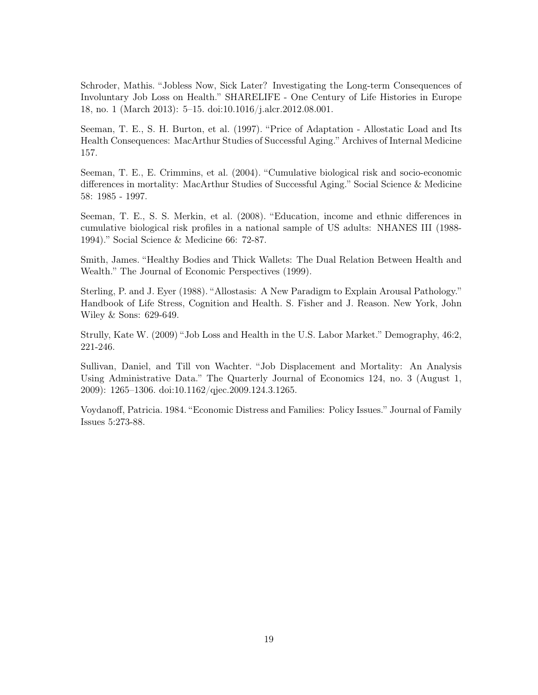Schroder, Mathis. "Jobless Now, Sick Later? Investigating the Long-term Consequences of Involuntary Job Loss on Health." SHARELIFE - One Century of Life Histories in Europe 18, no. 1 (March 2013): 5–15. doi:10.1016/j.alcr.2012.08.001.

Seeman, T. E., S. H. Burton, et al. (1997). "Price of Adaptation - Allostatic Load and Its Health Consequences: MacArthur Studies of Successful Aging." Archives of Internal Medicine 157.

Seeman, T. E., E. Crimmins, et al. (2004). "Cumulative biological risk and socio-economic differences in mortality: MacArthur Studies of Successful Aging." Social Science & Medicine 58: 1985 - 1997.

Seeman, T. E., S. S. Merkin, et al. (2008). "Education, income and ethnic differences in cumulative biological risk profiles in a national sample of US adults: NHANES III (1988- 1994)." Social Science & Medicine 66: 72-87.

Smith, James. "Healthy Bodies and Thick Wallets: The Dual Relation Between Health and Wealth." The Journal of Economic Perspectives (1999).

Sterling, P. and J. Eyer (1988). "Allostasis: A New Paradigm to Explain Arousal Pathology." Handbook of Life Stress, Cognition and Health. S. Fisher and J. Reason. New York, John Wiley & Sons: 629-649.

Strully, Kate W. (2009) "Job Loss and Health in the U.S. Labor Market." Demography, 46:2, 221-246.

Sullivan, Daniel, and Till von Wachter. "Job Displacement and Mortality: An Analysis Using Administrative Data." The Quarterly Journal of Economics 124, no. 3 (August 1, 2009): 1265–1306. doi:10.1162/qjec.2009.124.3.1265.

Voydanoff, Patricia. 1984. "Economic Distress and Families: Policy Issues." Journal of Family Issues 5:273-88.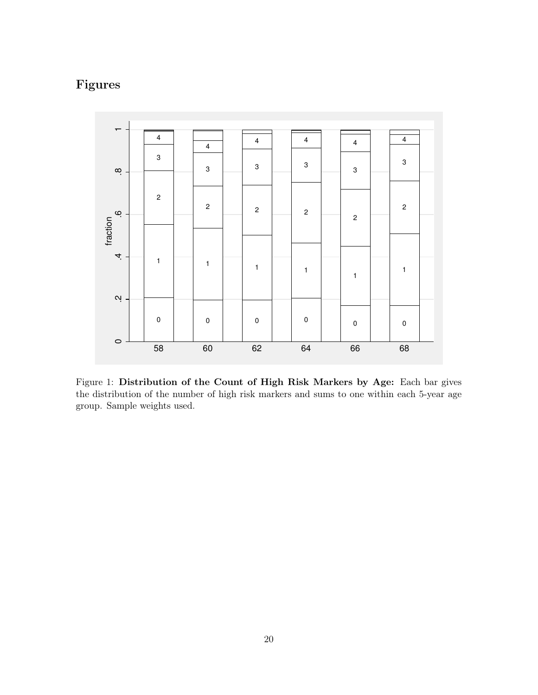# Figures



Figure 1: Distribution of the Count of High Risk Markers by Age: Each bar gives the distribution of the number of high risk markers and sums to one within each 5-year age group. Sample weights used.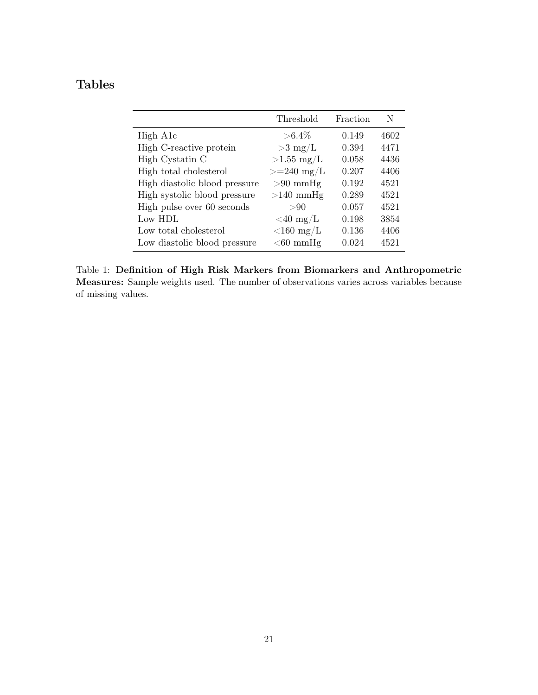# Tables

|                               | Threshold            | Fraction | N    |
|-------------------------------|----------------------|----------|------|
| High A <sub>1</sub> c         | $> 6.4\%$            | 0.149    | 4602 |
| High C-reactive protein       | $>3$ mg/L            | 0.394    | 4471 |
| High Cystatin C               | $>1.55$ mg/L         | 0.058    | 4436 |
| High total cholesterol        | $>=240 \text{ mg/L}$ | 0.207    | 4406 |
| High diastolic blood pressure | $>90$ mmHg           | 0.192    | 4521 |
| High systolic blood pressure  | $>140$ mmHg          | 0.289    | 4521 |
| High pulse over 60 seconds    | >90                  | 0.057    | 4521 |
| Low HDL                       | $<$ 40 mg/L          | 0.198    | 3854 |
| Low total cholesterol         | $\rm {\leq}160~mg/L$ | 0.136    | 4406 |
| Low diastolic blood pressure  | $<$ 60 mmHg          | 0.024    | 4521 |

Table 1: Definition of High Risk Markers from Biomarkers and Anthropometric Measures: Sample weights used. The number of observations varies across variables because of missing values.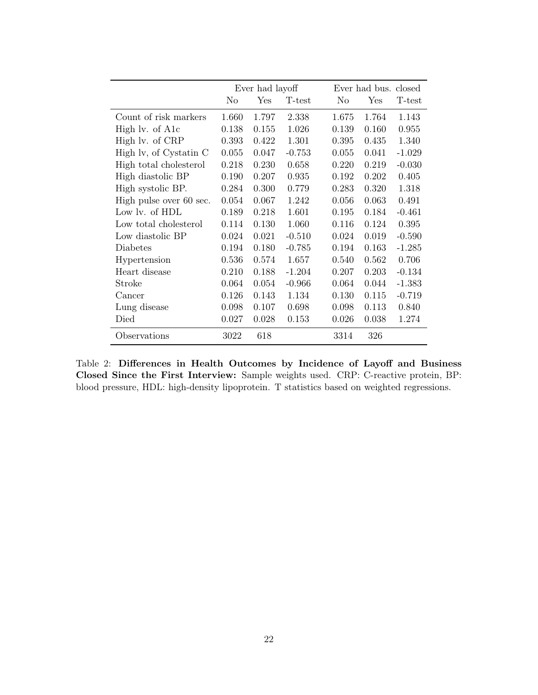|                         | Ever had layoff |       |          | Ever had bus. closed |       |          |
|-------------------------|-----------------|-------|----------|----------------------|-------|----------|
|                         | No              | Yes   | T-test   | No                   | Yes   | T-test   |
| Count of risk markers   | 1.660           | 1.797 | 2.338    | 1.675                | 1.764 | 1.143    |
| High lv. of A1c         | 0.138           | 0.155 | 1.026    | 0.139                | 0.160 | 0.955    |
| High lv. of CRP         | 0.393           | 0.422 | 1.301    | 0.395                | 0.435 | 1.340    |
| High lv, of Cystatin C  | 0.055           | 0.047 | $-0.753$ | 0.055                | 0.041 | $-1.029$ |
| High total cholesterol  | 0.218           | 0.230 | 0.658    | 0.220                | 0.219 | $-0.030$ |
| High diastolic BP       | 0.190           | 0.207 | 0.935    | 0.192                | 0.202 | 0.405    |
| High systolic BP.       | 0.284           | 0.300 | 0.779    | 0.283                | 0.320 | 1.318    |
| High pulse over 60 sec. | 0.054           | 0.067 | 1.242    | 0.056                | 0.063 | 0.491    |
| Low lv. of HDL          | 0.189           | 0.218 | 1.601    | 0.195                | 0.184 | $-0.461$ |
| Low total cholesterol   | 0.114           | 0.130 | 1.060    | 0.116                | 0.124 | 0.395    |
| Low diastolic BP        | 0.024           | 0.021 | $-0.510$ | 0.024                | 0.019 | $-0.590$ |
| Diabetes                | 0.194           | 0.180 | $-0.785$ | 0.194                | 0.163 | $-1.285$ |
| Hypertension            | 0.536           | 0.574 | 1.657    | 0.540                | 0.562 | 0.706    |
| Heart disease           | 0.210           | 0.188 | $-1.204$ | 0.207                | 0.203 | $-0.134$ |
| Stroke                  | 0.064           | 0.054 | $-0.966$ | 0.064                | 0.044 | $-1.383$ |
| Cancer                  | 0.126           | 0.143 | 1.134    | 0.130                | 0.115 | $-0.719$ |
| Lung disease            | 0.098           | 0.107 | 0.698    | 0.098                | 0.113 | 0.840    |
| Died                    | 0.027           | 0.028 | 0.153    | 0.026                | 0.038 | 1.274    |
| Observations            | 3022            | 618   |          | 3314                 | 326   |          |

Table 2: Differences in Health Outcomes by Incidence of Layoff and Business Closed Since the First Interview: Sample weights used. CRP: C-reactive protein, BP: blood pressure, HDL: high-density lipoprotein. T statistics based on weighted regressions.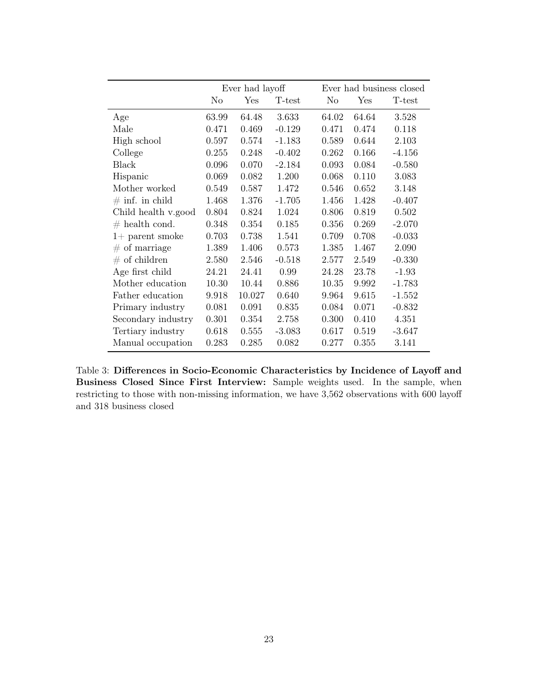|                     |                | Ever had layoff |          |       |       | Ever had business closed |
|---------------------|----------------|-----------------|----------|-------|-------|--------------------------|
|                     | N <sub>o</sub> | Yes             | T-test   | No    | Yes   | T-test                   |
| Age                 | 63.99          | 64.48           | 3.633    | 64.02 | 64.64 | 3.528                    |
| Male                | 0.471          | 0.469           | $-0.129$ | 0.471 | 0.474 | 0.118                    |
| High school         | 0.597          | 0.574           | $-1.183$ | 0.589 | 0.644 | 2.103                    |
| College             | 0.255          | 0.248           | $-0.402$ | 0.262 | 0.166 | $-4.156$                 |
| Black               | 0.096          | 0.070           | $-2.184$ | 0.093 | 0.084 | $-0.580$                 |
| Hispanic            | 0.069          | 0.082           | 1.200    | 0.068 | 0.110 | 3.083                    |
| Mother worked       | 0.549          | 0.587           | 1.472    | 0.546 | 0.652 | 3.148                    |
| $\#$ inf. in child  | 1.468          | 1.376           | $-1.705$ | 1.456 | 1.428 | $-0.407$                 |
| Child health v.good | 0.804          | 0.824           | 1.024    | 0.806 | 0.819 | 0.502                    |
| $#$ health cond.    | 0.348          | 0.354           | 0.185    | 0.356 | 0.269 | $-2.070$                 |
| $1+$ parent smoke   | 0.703          | 0.738           | 1.541    | 0.709 | 0.708 | $-0.033$                 |
| $#$ of marriage     | 1.389          | 1.406           | 0.573    | 1.385 | 1.467 | 2.090                    |
| $#$ of children     | 2.580          | 2.546           | $-0.518$ | 2.577 | 2.549 | $-0.330$                 |
| Age first child     | 24.21          | 24.41           | 0.99     | 24.28 | 23.78 | $-1.93$                  |
| Mother education    | 10.30          | 10.44           | 0.886    | 10.35 | 9.992 | $-1.783$                 |
| Father education    | 9.918          | 10.027          | 0.640    | 9.964 | 9.615 | $-1.552$                 |
| Primary industry    | 0.081          | 0.091           | 0.835    | 0.084 | 0.071 | $-0.832$                 |
| Secondary industry  | 0.301          | 0.354           | 2.758    | 0.300 | 0.410 | 4.351                    |
| Tertiary industry   | 0.618          | 0.555           | $-3.083$ | 0.617 | 0.519 | $-3.647$                 |
| Manual occupation   | 0.283          | 0.285           | 0.082    | 0.277 | 0.355 | 3.141                    |

Table 3: Differences in Socio-Economic Characteristics by Incidence of Layoff and Business Closed Since First Interview: Sample weights used. In the sample, when restricting to those with non-missing information, we have 3,562 observations with 600 layoff and 318 business closed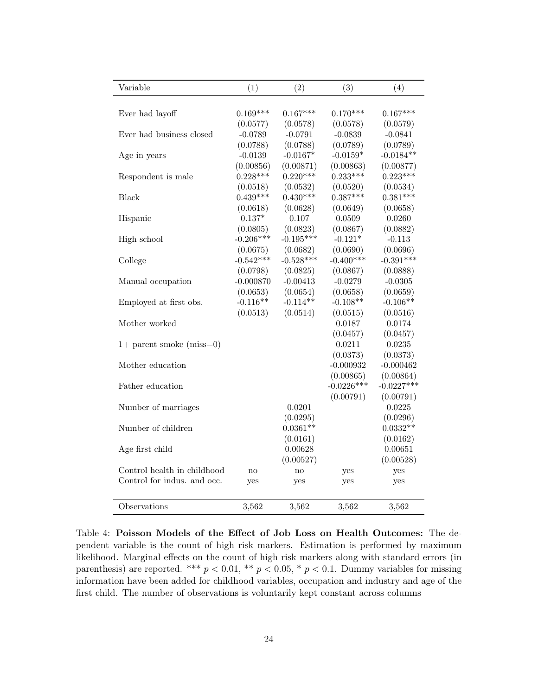| Variable                    | (1)         | (2)         | (3)          | (4)          |
|-----------------------------|-------------|-------------|--------------|--------------|
|                             |             |             |              |              |
| Ever had layoff             | $0.169***$  | $0.167***$  | $0.170***$   | $0.167***$   |
|                             | (0.0577)    | (0.0578)    | (0.0578)     | (0.0579)     |
| Ever had business closed    | $-0.0789$   | $-0.0791$   | $-0.0839$    | $-0.0841$    |
|                             | (0.0788)    | (0.0788)    | (0.0789)     | (0.0789)     |
| Age in years                | $-0.0139$   | $-0.0167*$  | $-0.0159*$   | $-0.0184**$  |
|                             | (0.00856)   | (0.00871)   | (0.00863)    | (0.00877)    |
| Respondent is male          | $0.228***$  | $0.220***$  | $0.233***$   | $0.223***$   |
|                             | (0.0518)    | (0.0532)    | (0.0520)     | (0.0534)     |
| <b>Black</b>                | $0.439***$  | $0.430***$  | $0.387***$   | $0.381***$   |
|                             | (0.0618)    | (0.0628)    | (0.0649)     | (0.0658)     |
| Hispanic                    | $0.137*$    | 0.107       | 0.0509       | 0.0260       |
|                             | (0.0805)    | (0.0823)    | (0.0867)     | (0.0882)     |
| High school                 | $-0.206***$ | $-0.195***$ | $-0.121*$    | $-0.113$     |
|                             | (0.0675)    | (0.0682)    | (0.0690)     | (0.0696)     |
| College                     | $-0.542***$ | $-0.528***$ | $-0.400***$  | $-0.391***$  |
|                             | (0.0798)    | (0.0825)    | (0.0867)     | (0.0888)     |
| Manual occupation           | $-0.000870$ | $-0.00413$  | $-0.0279$    | $-0.0305$    |
|                             | (0.0653)    | (0.0654)    | (0.0658)     | (0.0659)     |
| Employed at first obs.      | $-0.116**$  | $-0.114**$  | $-0.108**$   | $-0.106**$   |
|                             | (0.0513)    | (0.0514)    | (0.0515)     | (0.0516)     |
| Mother worked               |             |             | 0.0187       | 0.0174       |
|                             |             |             | (0.0457)     | (0.0457)     |
| $1+$ parent smoke (miss=0)  |             |             | 0.0211       | 0.0235       |
|                             |             |             | (0.0373)     | (0.0373)     |
| Mother education            |             |             | $-0.000932$  | $-0.000462$  |
|                             |             |             | (0.00865)    | (0.00864)    |
| Father education            |             |             | $-0.0226***$ | $-0.0227***$ |
|                             |             |             | (0.00791)    | (0.00791)    |
| Number of marriages         |             | 0.0201      |              | 0.0225       |
|                             |             | (0.0295)    |              | (0.0296)     |
| Number of children          |             | $0.0361**$  |              | $0.0332**$   |
|                             |             | (0.0161)    |              | (0.0162)     |
| Age first child             |             | 0.00628     |              | 0.00651      |
|                             |             | (0.00527)   |              | (0.00528)    |
| Control health in childhood | no          | no          | yes          | yes          |
| Control for indus. and occ. | yes         | yes         | yes          | yes          |
|                             |             |             |              |              |
| Observations                | 3,562       | 3,562       | 3,562        | 3,562        |

Table 4: Poisson Models of the Effect of Job Loss on Health Outcomes: The dependent variable is the count of high risk markers. Estimation is performed by maximum likelihood. Marginal effects on the count of high risk markers along with standard errors (in parenthesis) are reported. \*\*\*  $p < 0.01$ , \*\*  $p < 0.05$ , \*  $p < 0.1$ . Dummy variables for missing information have been added for childhood variables, occupation and industry and age of the first child. The number of observations is voluntarily kept constant across columns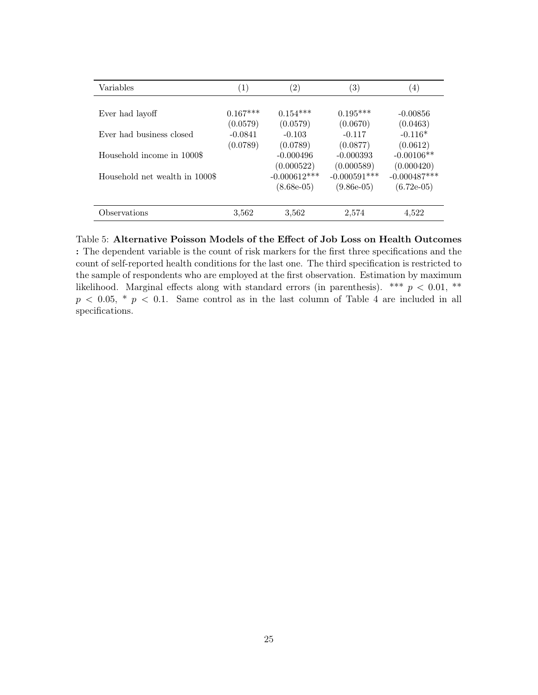| Variables                      | $\left(1\right)$ | $\left( 2\right)$ | 3)             | $\left( 4\right)$ |
|--------------------------------|------------------|-------------------|----------------|-------------------|
|                                |                  |                   |                |                   |
| Ever had layoff                | $0.167***$       | $0.154***$        | $0.195***$     | $-0.00856$        |
|                                | (0.0579)         | (0.0579)          | (0.0670)       | (0.0463)          |
| Ever had business closed       | $-0.0841$        | $-0.103$          | $-0.117$       | $-0.116*$         |
|                                | (0.0789)         | (0.0789)          | (0.0877)       | (0.0612)          |
| Household income in 1000\$     |                  | $-0.000496$       | $-0.000393$    | $-0.00106**$      |
|                                |                  | (0.000522)        | (0.000589)     | (0.000420)        |
| Household net wealth in 1000\$ |                  | $-0.000612***$    | $-0.000591***$ | $-0.000487***$    |
|                                |                  | $(8.68e-05)$      | $(9.86e-05)$   | $(6.72e-05)$      |
|                                |                  |                   |                |                   |
| Observations                   | 3,562            | 3,562             | 2,574          | 4.522             |

Table 5: Alternative Poisson Models of the Effect of Job Loss on Health Outcomes : The dependent variable is the count of risk markers for the first three specifications and the count of self-reported health conditions for the last one. The third specification is restricted to the sample of respondents who are employed at the first observation. Estimation by maximum likelihood. Marginal effects along with standard errors (in parenthesis). \*\*\*  $p < 0.01$ , \*\*  $p < 0.05$ , \*  $p < 0.1$ . Same control as in the last column of Table 4 are included in all specifications.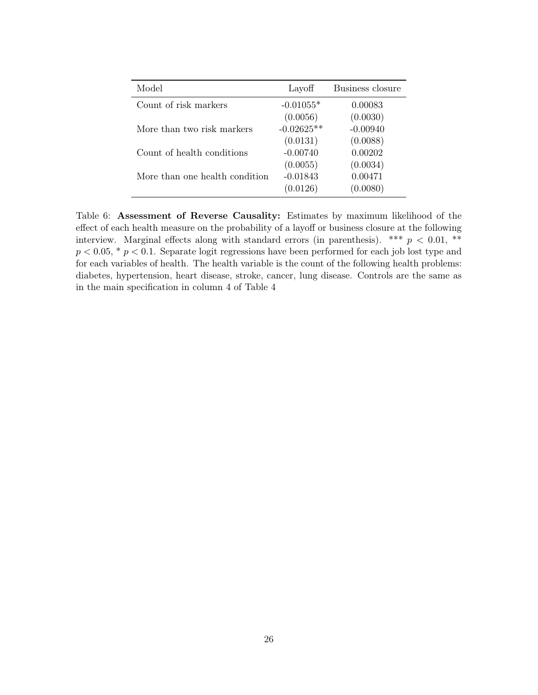| Model                          | Layoff       | Business closure |
|--------------------------------|--------------|------------------|
| Count of risk markers          | $-0.01055*$  | 0.00083          |
|                                | (0.0056)     | (0.0030)         |
| More than two risk markers     | $-0.02625**$ | $-0.00940$       |
|                                | (0.0131)     | (0.0088)         |
| Count of health conditions     | $-0.00740$   | 0.00202          |
|                                | (0.0055)     | (0.0034)         |
| More than one health condition | $-0.01843$   | 0.00471          |
|                                | (0.0126)     | (0.0080)         |

Table 6: Assessment of Reverse Causality: Estimates by maximum likelihood of the effect of each health measure on the probability of a layoff or business closure at the following interview. Marginal effects along with standard errors (in parenthesis). \*\*\*  $p < 0.01$ , \*\*  $p < 0.05$ ,  $\degree p < 0.1$ . Separate logit regressions have been performed for each job lost type and for each variables of health. The health variable is the count of the following health problems: diabetes, hypertension, heart disease, stroke, cancer, lung disease. Controls are the same as in the main specification in column 4 of Table 4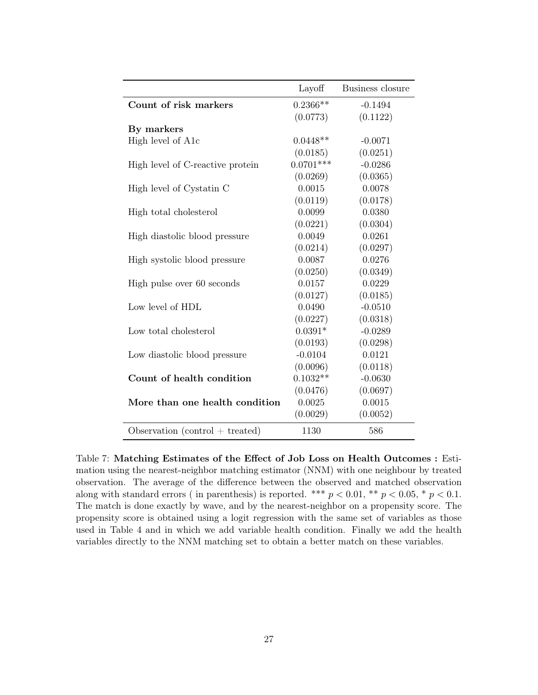|                                   | Layoff      | Business closure |
|-----------------------------------|-------------|------------------|
| Count of risk markers             | $0.2366**$  | $-0.1494$        |
|                                   | (0.0773)    | (0.1122)         |
| By markers                        |             |                  |
| High level of A1c                 | $0.0448**$  | $-0.0071$        |
|                                   | (0.0185)    | (0.0251)         |
| High level of C-reactive protein  | $0.0701***$ | $-0.0286$        |
|                                   | (0.0269)    | (0.0365)         |
| High level of Cystatin C          | 0.0015      | 0.0078           |
|                                   | (0.0119)    | (0.0178)         |
| High total cholesterol            | 0.0099      | 0.0380           |
|                                   | (0.0221)    | (0.0304)         |
| High diastolic blood pressure     | 0.0049      | 0.0261           |
|                                   | (0.0214)    | (0.0297)         |
| High systolic blood pressure      | 0.0087      | 0.0276           |
|                                   | (0.0250)    | (0.0349)         |
| High pulse over 60 seconds        | 0.0157      | 0.0229           |
|                                   | (0.0127)    | (0.0185)         |
| Low level of HDL                  | 0.0490      | $-0.0510$        |
|                                   | (0.0227)    | (0.0318)         |
| Low total cholesterol             | $0.0391*$   | $-0.0289$        |
|                                   | (0.0193)    | (0.0298)         |
| Low diastolic blood pressure      | $-0.0104$   | 0.0121           |
|                                   | (0.0096)    | (0.0118)         |
| Count of health condition         | $0.1032**$  | $-0.0630$        |
|                                   | (0.0476)    | (0.0697)         |
| More than one health condition    | 0.0025      | 0.0015           |
|                                   | (0.0029)    | (0.0052)         |
| Observation $(control + treated)$ | 1130        | 586              |

Table 7: Matching Estimates of the Effect of Job Loss on Health Outcomes : Estimation using the nearest-neighbor matching estimator (NNM) with one neighbour by treated observation. The average of the difference between the observed and matched observation along with standard errors (in parenthesis) is reported. \*\*\*  $p < 0.01$ , \*\*  $p < 0.05$ , \*  $p < 0.1$ . The match is done exactly by wave, and by the nearest-neighbor on a propensity score. The propensity score is obtained using a logit regression with the same set of variables as those used in Table 4 and in which we add variable health condition. Finally we add the health variables directly to the NNM matching set to obtain a better match on these variables.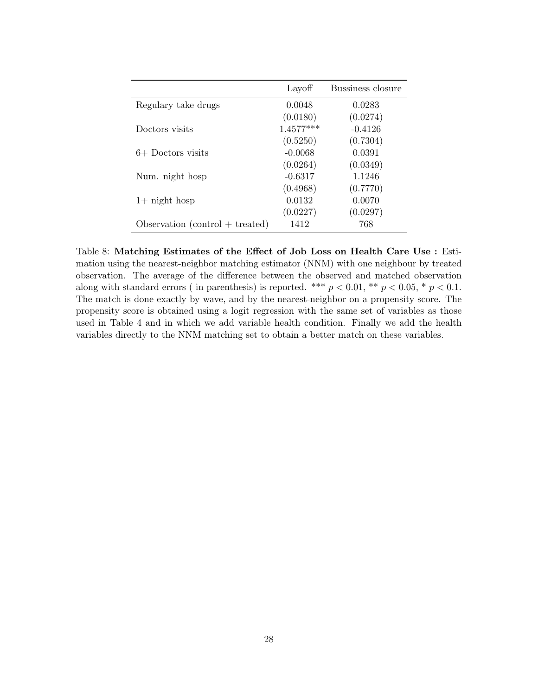|                                   | Layoff      | Bussiness closure |
|-----------------------------------|-------------|-------------------|
| Regulary take drugs               | 0.0048      | 0.0283            |
|                                   | (0.0180)    | (0.0274)          |
| Doctors visits                    | $1.4577***$ | $-0.4126$         |
|                                   | (0.5250)    | (0.7304)          |
| $6+$ Doctors visits               | $-0.0068$   | 0.0391            |
|                                   | (0.0264)    | (0.0349)          |
| Num. night hosp                   | $-0.6317$   | 1.1246            |
|                                   | (0.4968)    | (0.7770)          |
| $1+$ night hosp                   | 0.0132      | 0.0070            |
|                                   | (0.0227)    | (0.0297)          |
| Observation $(control + treated)$ | 1412        | 768               |

Table 8: Matching Estimates of the Effect of Job Loss on Health Care Use : Estimation using the nearest-neighbor matching estimator (NNM) with one neighbour by treated observation. The average of the difference between the observed and matched observation along with standard errors (in parenthesis) is reported. \*\*\*  $p < 0.01$ , \*\*  $p < 0.05$ , \*  $p < 0.1$ . The match is done exactly by wave, and by the nearest-neighbor on a propensity score. The propensity score is obtained using a logit regression with the same set of variables as those used in Table 4 and in which we add variable health condition. Finally we add the health variables directly to the NNM matching set to obtain a better match on these variables.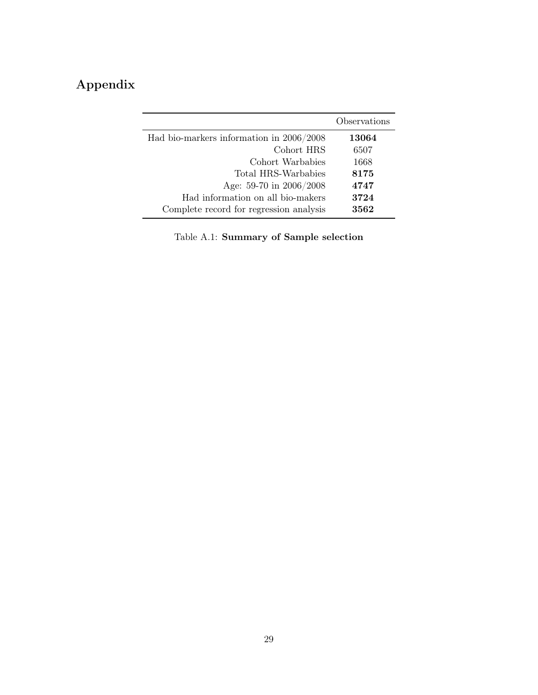# Appendix

|                                          | Observations |
|------------------------------------------|--------------|
| Had bio-markers information in 2006/2008 | 13064        |
| Cohort HRS                               | 6507         |
| Cohort Warbabies                         | 1668         |
| Total HRS-Warbabies                      | 8175         |
| Age: 59-70 in 2006/2008                  | 4747         |
| Had information on all bio-makers        | 3724         |
| Complete record for regression analysis  | 3562         |

Table A.1: Summary of Sample selection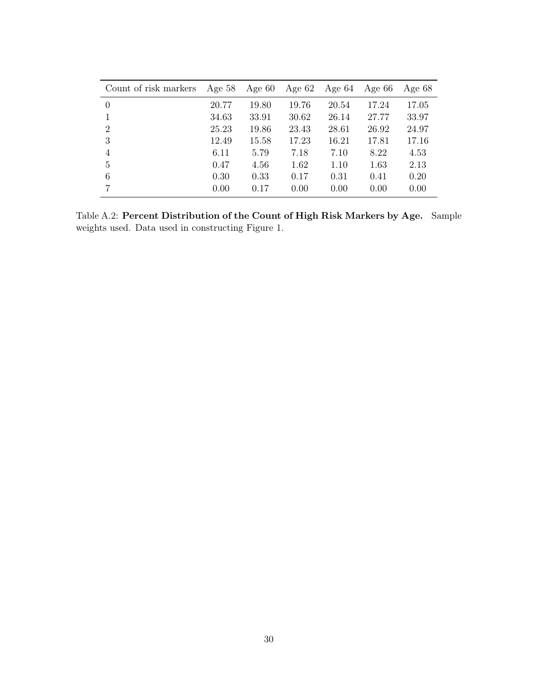| Count of risk markers | Age $58$ | Age $60$ | Age $62$ | Age $64$ | Age $66$ | Age $68$ |
|-----------------------|----------|----------|----------|----------|----------|----------|
| $\Omega$              | 20.77    | 19.80    | 19.76    | 20.54    | 17.24    | 17.05    |
|                       | 34.63    | 33.91    | 30.62    | 26.14    | 27.77    | 33.97    |
| 2                     | 25.23    | 19.86    | 23.43    | 28.61    | 26.92    | 24.97    |
| 3                     | 12.49    | 15.58    | 17.23    | 16.21    | 17.81    | 17.16    |
| 4                     | 6.11     | 5.79     | 7.18     | 7.10     | 8.22     | 4.53     |
| 5                     | 0.47     | 4.56     | 1.62     | 1.10     | 1.63     | 2.13     |
| 6                     | 0.30     | 0.33     | 0.17     | 0.31     | 0.41     | 0.20     |
|                       | 0.00     | 0.17     | 0.00     | 0.00     | 0.00     | 0.00     |

Table A.2: Percent Distribution of the Count of High Risk Markers by Age. Sample weights used. Data used in constructing Figure 1.